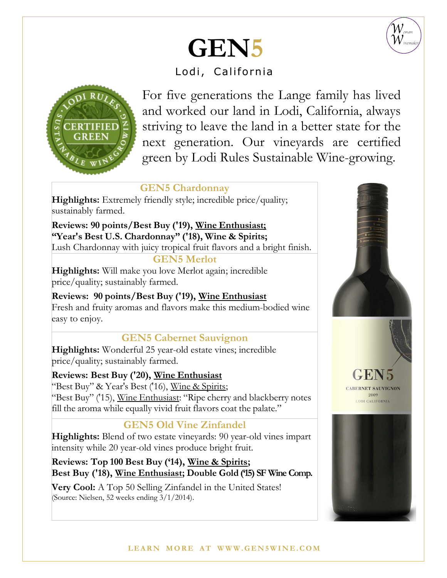

# **GEN5**

# Lodi, California



For five generations the Lange family has lived and worked our land in Lodi, California, always striving to leave the land in a better state for the next generation. Our vineyards are certified green by Lodi Rules Sustainable Wine-growing.

#### **GEN5 Chardonnay**

**Highlights:** Extremely friendly style; incredible price/quality; sustainably farmed.

**Reviews: 90 points/Best Buy ('19), Wine Enthusiast; "Year's Best U.S. Chardonnay" ('18), Wine & Spirits;** Lush Chardonnay with juicy tropical fruit flavors and a bright finish.

#### **GEN5 Merlot**

**Highlights:** Will make you love Merlot again; incredible price/quality; sustainably farmed.

**Reviews: 90 points/Best Buy ('19), Wine Enthusiast**  Fresh and fruity aromas and flavors make this medium-bodied wine easy to enjoy.

## **GEN5 Cabernet Sauvignon**

**Highlights:** Wonderful 25 year-old estate vines; incredible price/quality; sustainably farmed.

**Reviews: Best Buy ('20), Wine Enthusiast**  "Best Buy" & Year's Best ('16), Wine & Spirits; "Best Buy" ('15), Wine Enthusiast: "Ripe cherry and blackberry notes fill the aroma while equally vivid fruit flavors coat the palate."

## **GEN5 Old Vine Zinfandel**

**Highlights:** Blend of two estate vineyards: 90 year-old vines impart intensity while 20 year-old vines produce bright fruit.

**Reviews: Top 100 Best Buy ('14), Wine & Spirits; Best Buy ('18), Wine Enthusiast; Double Gold ('15) SF Wine Comp.**

**Very Cool:** A Top 50 Selling Zinfandel in the United States! (Source: Nielsen, 52 weeks ending 3/1/2014).